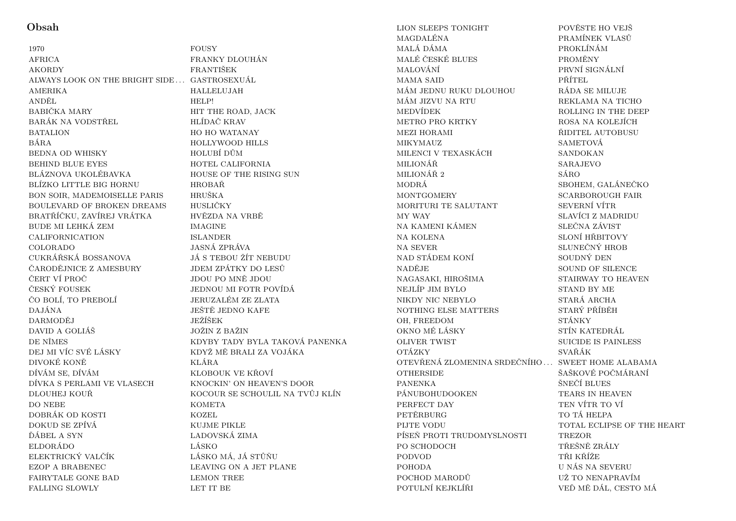#### **Obsah**

1970 AFRICA AKORDY ALWAYS LOOK ON THE BRIGHT SIDE... GASTROSEXUAL AMERIKA ANDĚL BABIČKA MARY BARÁK NA VODSTŘEL BATALION BÁRA BEDNA OD WHISKY BEHIND BLUE EYES BLÁZNOVA UKOLÉBAVKA BLÍZKO LITTLE BIG HORNU BON SOIR, MADEMOISELLE PARIS BOULEVARD OF BROKEN DREAMS BRATŘÍČKU, ZAVÍREJ VRÁTKA BUDE MI LEHKÁ ZEM CALIFORNICATION COLORADO CUKRÁŘSKÁ BOSSANOVA ČARODĚJNICE Z AMESBURY ČERT VÍ PROČ ČESKÝ FOUSEK ČO BOLÍ, TO PREBOLÍ DAJÁNA DARMODĚJ DAVID A GOLIÁŠ DE NÎMES DEJ MI VÍC SVÉ LÁSKY DIVOKÉ KONĚ DÍVÁM SE, DÍVÁM DÍVKA S PERLAMI VE VLASECH DLOUHEJ KOUŘ DO NEBE DOBRÁK OD KOSTI DOKUD SE ZPÍVÁ ĎÁBEL A SYN ELDORÁDO ELEKTRICKÝ VALČÍK EZOP A BRABENEC FAIRYTALE GONE BAD FALLING SLOWLY

FOUSY FRANKY DLOUHÁN FRANTIŠEK HALLELUJAH HELP! HIT THE ROAD, JACK HLÍDAČ KRAV HO HO WATANAY HOLLYWOOD HILLS HOLUBÍ DŮM HOTEL CALIFORNIA HOUSE OF THE RISING SUN HROBAŘ HRUŠKA HUSLIČKY HVĚZDA NA VRBĚ IMAGINE ISLANDER JASNÁ ZPRÁVA JÁ S TEBOU ŽÍT NEBUDU JDEM ZPÁTKY DO LESŮ JDOU PO MNĚ JDOU JEDNOU MI FOTR POVÍDÁ JERUZALÉM ZE ZLATA JEŠTĚ JEDNO KAFE JEŽÍŠEK JOŽIN Z BAŽIN KDYBY TADY BYLA TAKOVÁ PANENKA KDYŽ MĚ BRALI ZA VOJÁKA KLÁRA KLOBOUK VE KŘOVÍ KNOCKIN' ON HEAVEN'S DOOR KOCOUR SE SCHOULIL NA TVŮJ KLÍN **KOMETA** KOZEL KUJME PIKLE LADOVSKÁ ZIMA LÁSKO LÁSKO MÁ, JÁ STŮŇU LEAVING ON A JET PLANE LEMON TREE LET IT BE

LION SLEEPS TONIGHT MAGDALÉNA MALÁ DÁMA MALÉ ČESKÉ BLUES MALOVÁNÍ MAMA SAID MÁM JEDNU RUKU DLOUHOU MÁM JIZVU NA RTU MEDVÍDEK METRO PRO KRTKY MEZI HORAMI MIKYMAUZ MILENCI V TEXASKÁCH MILIONÁŘ MILIONÁŘ 2 MODRÁ **MONTGOMERY** MORITURI TE SALUTANT MY WAY NA KAMENI KÁMEN NA KOLENA NA SEVER NAD STÁDEM KONÍ NADĚJE NAGASAKI, HIROŠIMA NEJLÍP JIM BYLO NIKDY NIC NEBYLO NOTHING ELSE MATTERS OH, FREEDOM OKNO MÉ LÁSKY OLIVER TWIST OTÁZKY OTEVŘENÁ ZLOMENINA SRDEČNÍHO . . . SWEET HOME ALABAMA OTHERSIDE PANENKA PÁNUBOHUDOOKEN PERFECT DAY PETĚRBURG PIJTE VODU PÍSEŇ PROTI TRUDOMYSLNOSTI PO SCHODOCH PODVOD POHODA POCHOD MARODŮ POTULNÍ KEJKLÍŘI

POVĚSTE HO VEJŠ PRAMÍNEK VLASŮ PROKLÍNÁM PROMĚNY PRVNÍ SIGNÁLNÍ PŘÍTEL RÁDA SE MILUJE REKLAMA NA TICHO ROLLING IN THE DEEP ROSA NA KOLEJÍCH ŘIDITEL AUTOBUSU SAMETOVÁ SANDOKAN SARAJEVO SÁRO SBOHEM, GALÁNEČKO SCARBOROUGH FAIR SEVERNÍ VÍTR SLAVÍCI Z MADRIDU SLEČNA ZÁVIST SLONÍ HŘBITOVY SLUNEČNÝ HROB SOUDNÝ DEN SOUND OF SILENCE STAIRWAY TO HEAVEN STAND BY ME STARÁ ARCHA STARÝ PŘÍBĚH STÁNKY STÍN KATEDRÁL SUICIDE IS PAINLESS SVAŘÁK ŠAŠKOVÉ POČMÁRANÍ ŠNEČÍ BLUES TEARS IN HEAVEN TEN VÍTR TO VÍ TO TÁ HEĽPA TOTAL ECLIPSE OF THE HEART TREZOR TŘEŠNĚ ZRÁLY TŘI KŘÍŽE U NÁS NA SEVERU UŽ TO NENAPRAVÍM VEĎ MĚ DÁL, CESTO MÁ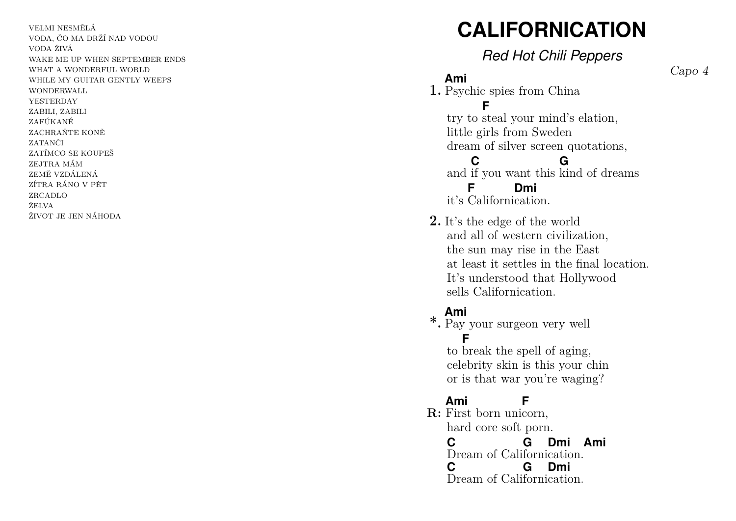VELMI NESMĚLÁ VODA, ČO MA DRŽÍ NAD VODOU VODA ŽIVÁ WAKE ME UP WHEN SEPTEMBER ENDS WHAT A WONDERFUL WORLD WHILE MY GUITAR GENTLY WEEPS WONDERWALL **YESTERDAY** ZABILI, ZABILI ZAFÚKANÉ ZACHRAŇTE KONĚ ZATANČI ZATÍMCO SE KOUPEŠ ZEJTRA MÁM ZEMĚ VZDÁLENÁ ZÍTRA RÁNO V PĚT ZRCADLO ŽELVA ŽIVOT JE JEN NÁHODA

## **CALIFORNICATION**

*Red Hot Chili Peppers*

### **Ami**

**C**

**1.** Psychic spies from China

try to steal your mind's elation, **F** little girls from Sweden dream of silver screen quotations,

## **G**

and if you want this kind of dreams it's Californi cation. **F Dmi**

**2.** It's the edge of the world and all of western civilization, the sun may rise in the East at least it settles in the final location. It's understood that Hollywood sells Californication.

## **Ami**

**\*.** Pay your surgeon very well **F**

to break the spell of aging, celebrity skin is this your chin or is that war you're waging?

**F**

### **Ami**

R: First born unicorn, hard core soft porn. **C** Dream of Californication. **G Dmi Ami C G Dmi**

Dream of Californication.

Capo 4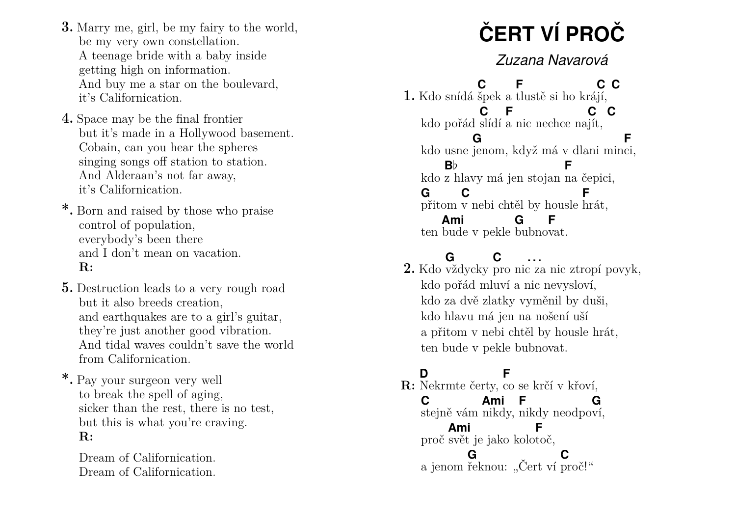- **3.** Marry me, girl, be my fairy to the world, be my very own constellation. A teenage bride with a baby inside getting high on information. And buy me a star on the boulevard, it's Californication.
- **4.** Space may be the final frontier but it's made in a Hollywood basement. Cobain, can you hear the spheres singing songs off station to station. And Alderaan's not far away, it's Californication.
- **\*.** Born and raised by those who praise control of population, everybody's been there and I don't mean on vacation. **R:**
- **5.** Destruction leads to a very rough road but it also breeds creation, and earthquakes are to a girl's guitar, they're just another good vibration. And tidal waves couldn't save the world from Californication.
- **\*.** Pay your surgeon very well to break the spell of aging, sicker than the rest, there is no test, but this is what you're craving. **R:**

Dream of Californication. Dream of Californication.

# $\check{\textbf{C}}$ **ERT VÍ PROČ**

*Zuzana Navarová*

**1.** Kdo snídá špek a tlustě si ho krá jí, **C F C C** kdo pořád slídí a nic nechce na jít, **C F C C** kdo usne jenom, když má v dlani min ci, **G F** kdo z hlavy má jen stojan na čepici, **B***[* **F G** přitom v nebi chtěl by housle **C F** hrát, ten bude v pekle bubno vat. **Ami G F**

**2.** Kdo vždycky **G C . . .** pro nic za nic ztropí povyk, kdo pořád mluví a nic nevysloví, kdo za dvě zlatky vyměnil by duši, kdo hlavu má jen na nošení uší a přitom v nebi chtěl by housle hrát, ten bude v pekle bubnovat.

## **F**

**D**

**R:** Nekrmte čerty, co se krčí v křoví, **C** stejně vám nikdy, nikdy neodpo ví, **Ami F G** proč svět je jako kolo toč, **Ami F** a jenom řeknou: "Čert ví **G C** proč!"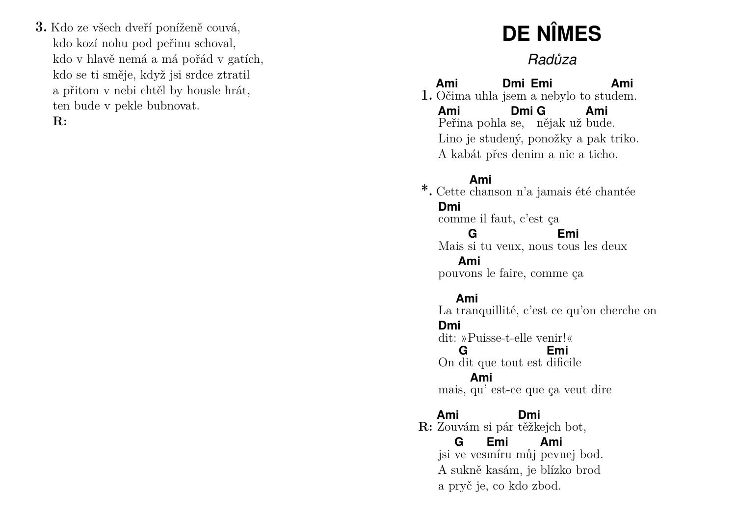**3.** Kdo ze všech dveří poníženě couvá, kdo kozí nohu pod peřinu schoval, kdo v hlavě nemá a má pořád v gatích, kdo se ti směje, když jsi srdce ztratil a přitom v nebi chtěl by housle hrát, ten bude v pekle bubnovat. **R:**

# **DE NÎMES**

### *Rad ˚uza*

#### **Ami Dmi Emi Ami**

**1.** Očima uhla jsem a nebylo to stu dem. **Ami** Peřina pohla se, nějak už bude. **Dmi G Ami** Lino je studený, ponožky a pak triko. A kabát přes denim a nic a ticho.

#### **Ami**

**G**

**\*.** Cette chanson n'a jamais été chantée **Dmi**

comme il faut, c'est ça

#### **Emi**

Mais si tu veux, nous tous les deux pou vons le faire, comme ça **Ami**

### **Ami**

La tranquillité, c'est ce qu'on cherche on **Dmi**

dit: »Puisse-t-elle venir!« **G Emi**

On dit que tout est dificile

mais, qu' est-ce que ça veut dire **Ami**

#### **Ami Dmi**

**R:** Zouvám si pár těžkejch bot,

#### **G Emi Ami**

jsi ve ves míru můj pevnej bod. A sukně kasám, je blízko brod a pryč je, co kdo zbod.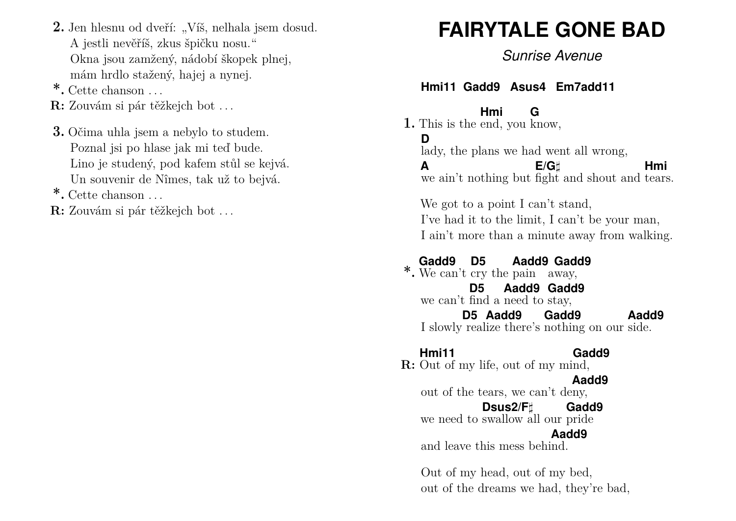- 2. Jen hlesnu od dveří: "Víš, nelhala jsem dosud. A jestli nevěříš, zkus špičku nosu." Okna jsou zamžený, nádobí škopek plnej, mám hrdlo stažený, hajej a nynej.
- **\*.** Cette chanson . . .
- **R:** Zouvám si pár těžkejch bot . . .
- **3.** Očima uhla jsem a nebylo to studem. Poznal jsi po hlase jak mi teď bude. Lino je studený, pod kafem stůl se kejvá. Un souvenir de Nîmes, tak už to bejvá.
- **\*.** Cette chanson . . .
- **R:** Zouvám si pár těžkejch bot . . .

## **FAIRYTALE GONE BAD**

*Sunrise Avenue*

#### **Hmi11 Gadd9 Asus4 Em7add11**

#### **Hmi G**

**1.** This is the end, you know,

**D** lady, the plans we had went all wrong,

**A** we ain't nothing but fight and shout and tears. **E/G***]* **Hmi**

We got to a point I can't stand. I've had it to the limit, I can't be your man, I ain't more than a minute away from walking.

#### **Gadd9 D5 Aadd9 Gadd9**

**\*.** We can't cry the pain a way,

we can't find a need to stay, **D5 Aadd9 Gadd9 D5 Aadd9 Gadd9 Aadd9**

I slowly real ize there's nothing on our side.

**R:** Out of my life, out of my mind, **Hmi11 Gadd9**

### **Aadd9**

out of the tears, we can't de ny,

#### **Dsus2/F***]* **Gadd9**

we need to s wallow all our pride

### **Aadd9**

and leave this mess behi nd.

Out of my head, out of my bed, out of the dreams we had, they're bad,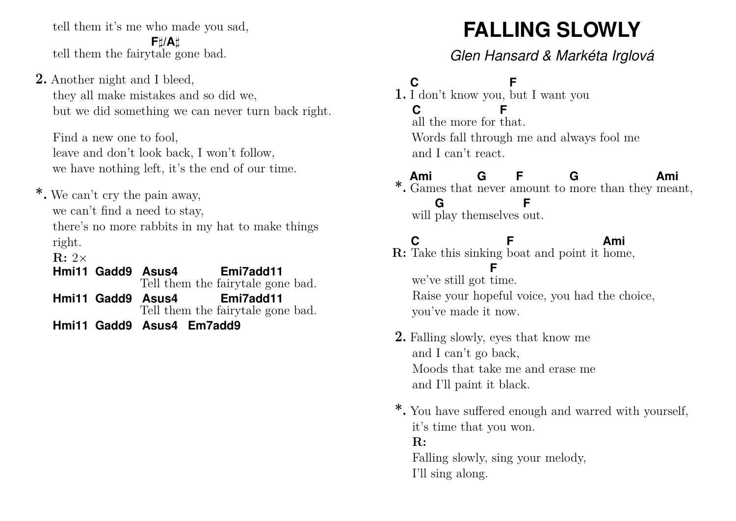tell them it's me who made you sad, tell them the fairy tale gone bad. **F***]***/A***]*

**2.** Another night and I bleed,

they all make mistakes and so did we, but we did something we can never turn back right.

Find a new one to fool, leave and don't look back, I won't follow, we have nothing left, it's the end of our time.

**\*.** We can't cry the pain away, we can't find a need to stay,

there's no more rabbits in my hat to make things right.

**R:** 2×

**Hmi11 Gadd9 Asus4** Tell them the f airytale gone bad. **Emi7add11 Hmi11 Gadd9 Asus4** Tell them the f airytale gone bad. **Emi7add11 Hmi11 Gadd9 Asus4 Em7add9**

# **FALLING SLOWLY**

*Glen Hansard & Markéta Irglová*

## **F**

**C**

**C**

**1.** I don't know you, but I want you **C** all the more for that. **F** Words fall through me and always fool me and I can't react.

#### **Ami G F G Ami**

**\*.** Games that never a mount to more than they meant, will play themselves **G F** out.

#### **F Ami**

**R:** Take this sinking boat and point it home,

we've still got time. **F** Raise your hopeful voice, you had the choice, you've made it now.

- **2.** Falling slowly, eyes that know me and I can't go back, Moods that take me and erase me and I'll paint it black.
- **\*.** You have suffered enough and warred with yourself, it's time that you won.

## **R:**

Falling slowly, sing your melody, I'll sing along.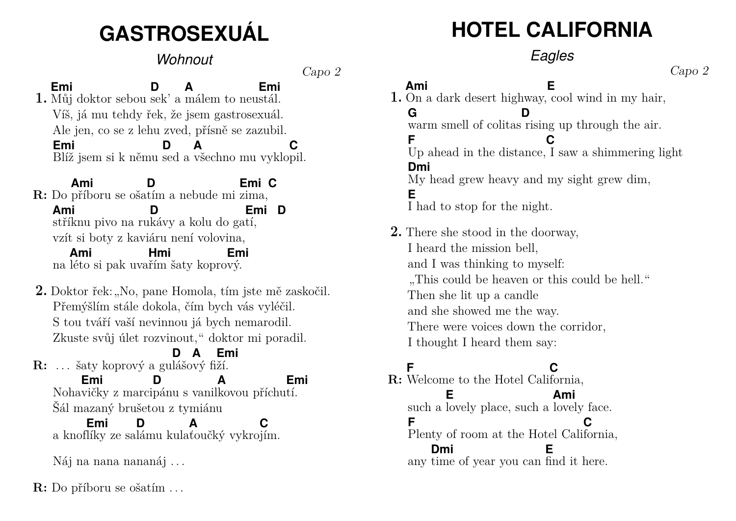# **GASTROSEXUÁL**

*Wohnout*

Capo 2

**1.** Můj doktor sebou sek' a **Emi D A** málem to neu stál. **Emi** Víš, já mu tehdy řek, že jsem gastrosexuál. Ale jen, co se z lehu zved, přísně se zazubil. **Emi** Blíž jsem si k němu **D** sed a **A** všechno mu vyklo pil. **C**

**R:** Do příboru se oša tím a nebude mi zima, **Ami D Emi C Ami** stříknu pivo na ru kávy a kolu do ga tí, **D Emi D** vzít si boty z kaviáru není volovina, na léto si pak uva řím šaty kopro vý. **Ami Hmi Emi**

**2.** Doktor řek: "No, pane Homola, tím jste mě zaskočil. Přemýšlím stále dokola, čím bych vás vyléčil. S tou tváří vaší nevinnou já bych nemarodil. Zkuste svůj úlet rozvinout," doktor mi poradil.

R: ... šaty koprový a gulášový fiží. **D A Emi** Noha vičky z marci **Emi D** pánu s vanil kovou příchu tí. **A Emi** Šál mazaný brušetou z tymiánu

a knof líky ze sa lámu kula ťoučký vykro jím. **Emi D A C**

Náj na nana nananáj ...

**R:** Do příboru se ošatím . . .

## **HOTEL CALIFORNIA**

*Eagles*

**1.** On a dark desert highway, **Ami E** cool wind in my hair, **G** warm smell of colitas rising up through the air. **D F** Up ahead in the distance, I saw a shimmering light **C Dmi** My head grew heavy and my sight grew dim, **E** I had to stop for the night.

**2.** There she stood in the doorway, I heard the mission bell, and I was thinking to myself: "This could be heaven or this could be hell." Then she lit up a candle and she showed me the way. There were voices down the corridor, I thought I heard them say:

**R:** Welcome to the Hotel Cali fornia, **F C** such a lovely place, such a lovely face. **E Ami F** Plenty of room at the Hotel Cali **C** fornia, any time of year you can **Dmi E** find it here.

Capo 2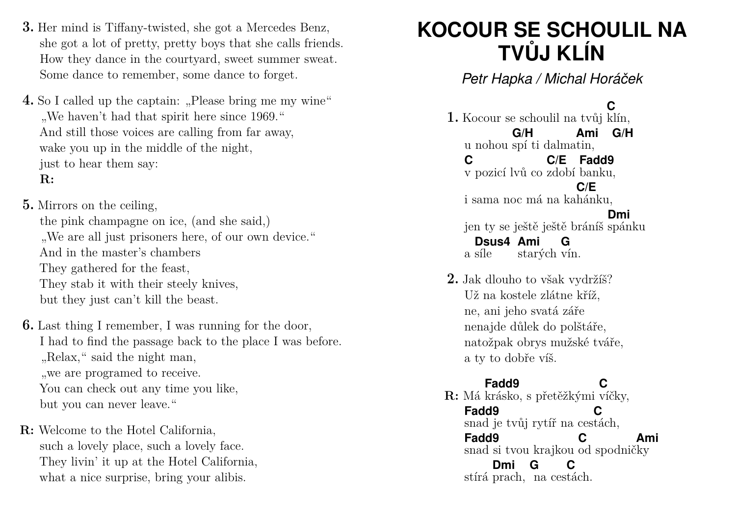**3.** Her mind is Tiffany-twisted, she got a Mercedes Benz, she got a lot of pretty, pretty boys that she calls friends. How they dance in the courtyard, sweet summer sweat. Some dance to remember, some dance to forget.

**4.** So I called up the captain: "Please bring me my wine" "We haven't had that spirit here since 1969." And still those voices are calling from far away, wake you up in the middle of the night, just to hear them say:

### **R:**

**5.** Mirrors on the ceiling,

the pink champagne on ice, (and she said,) "We are all just prisoners here, of our own device." And in the master's chambers They gathered for the feast, They stab it with their steely knives, but they just can't kill the beast.

**6.** Last thing I remember, I was running for the door, I had to find the passage back to the place I was before. "Relax," said the night man, ", we are programed to receive. You can check out any time you like, but you can never leave."

**R:** Welcome to the Hotel California, such a lovely place, such a lovely face. They livin' it up at the Hotel California, what a nice surprise, bring your alibis.

## **KOCOUR SE SCHOULIL NA TVUJ KLÍN ˚**

*Petr Hapka / Michal Horácek ˇ*

## **C**

**1.** Kocour se schoulil na tvůj klín, u nohou spí ti dalma tin, **G/H Ami G/H C** v pozicí lvů co zdobí banku, **C/E Fadd9** i sama noc má na ka hánku, **C/E** jen ty se ještě ještě bráníš spánku **Dmi** a síle **Dsus4 Ami** starých vín. **G**

**2.** Jak dlouho to však vydržíš? Už na kostele zlátne kříž, ne, ani jeho svatá záře nenajde důlek do polštáře, natožpak obrys mužské tváře, a ty to dobře víš.

**R:** Má krásko, s přetěžkými víčky, **Fadd9 C Fadd9** snad je tvůj rytíř na ces **C** tách, **Fadd9** snad si tvou krajkou od spodnič ky **C Ami** stírá prach, na ces tách.**Dmi G C**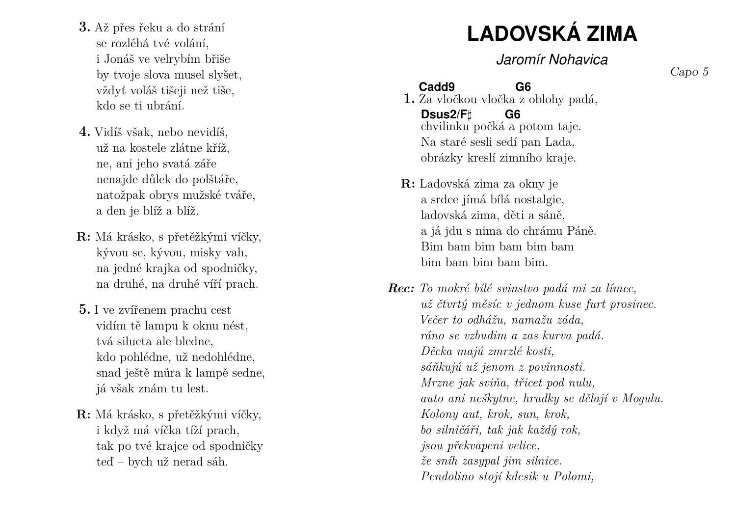- **3.** Až přes řeku a do strání se rozléhá tvé volání, i Jonáš ve velrybím břiše by tvoje slova musel slyšet, vždyť voláš tišeji než tiše, kdo se ti ubrání.
- **4.** Vidíš však, nebo nevidíš, už na kostele zlátne kříž, ne, ani jeho svatá záře nenajde důlek do polštáře, natožpak obrys mužské tváře, a den je blíž a blíž.
- **R:** Má krásko, s přetěžkými víčky, kývou se, kývou, misky vah, na jedné krajka od spodničky, na druhé, na druhé víří prach.
- **5.** I ve zvířenem prachu cest vidím tě lampu k oknu nést, tvá silueta ale bledne, kdo pohlédne, už nedohlédne, snad ještě můra k lampě sedne, já však znám tu lest.
- **R:** Má krásko, s přetěžkými víčky, i když má víčka tíží prach, tak po tvé krajce od spodničky teď – bych už nerad sáh.

# **LADOVSKÁ ZIMA**

*Jaromír Nohavica*

**1.** Za vločkou vločka z oblohy padá, **Cadd9 G6 Dsus2/F***]* chvilinku počká a potom taje. **G6** Na staré sesli sedí pan Lada, obrázky kreslí zimního kraje.

- **R:** Ladovská zima za okny je a srdce jímá bílá nostalgie, ladovská zima, děti a sáně, a já jdu s nima do chrámu Páně. Bim bam bim bam bim bam bim bam bim bam bim.
- *Rec: To mokré bílé svinstvo padá mi za límec, už čtvrtý měsíc v jednom kuse furt prosinec. Večer to odhážu, namažu záda, ráno se vzbudim a zas kurva padá. Děcka majú zmrzlé kosti, sáňkujú už jenom z povinnosti. Mrzne jak sviňa, třicet pod nulu, auto ani neškytne, hrudky se dělají v Mogulu. Kolony aut, krok, sun, krok, bo silničáři, tak jak každý rok, jsou překvapeni velice, že sníh zasypal jim silnice. Pendolino stojí kdesik u Polomi,*

Capo 5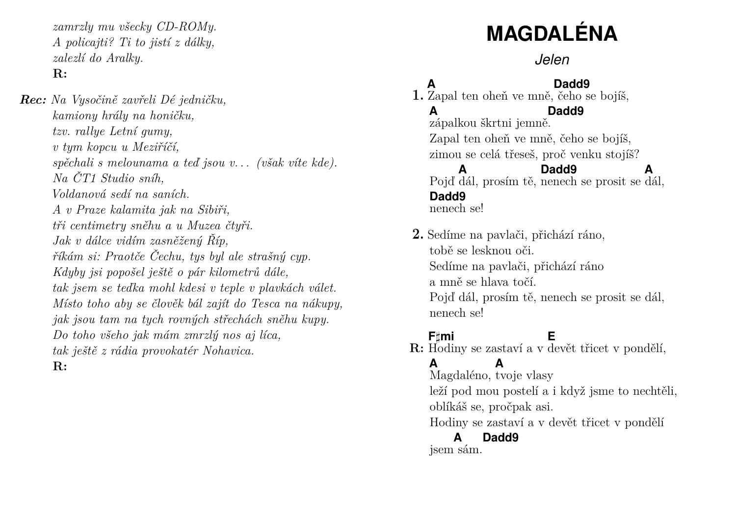*zamrzly mu všecky CD-ROMy. A policajti? Ti to jistí z dálky, zalezlí do Aralky.* **R:**

*Rec: Na Vysočině zavřeli Dé jedničku, kamiony hrály na honičku, tzv. rallye Letní gumy, v tym kopcu u Meziříčí, spěchali s melounama a teď jsou v. . . (však víte kde). Na ČT1 Studio sníh, Voldanová sedí na saních. A v Praze kalamita jak na Sibiři, tři centimetry sněhu a u Muzea čtyři. Jak v dálce vidím zasněžený Říp, říkám si: Praotče Čechu, tys byl ale strašný cyp. Kdyby jsi popošel ještě o pár kilometrů dále, tak jsem se teďka mohl kdesi v teple v plavkách válet. Místo toho aby se člověk bál zajít do Tesca na nákupy, jak jsou tam na tych rovných střechách sněhu kupy. Do toho všeho jak mám zmrzlý nos aj líca, tak ještě z rádia provokatér Nohavica.* **R:**

# **MAGDALÉNA**

*Jelen*

**1.** Zapal ten oheň ve mně, čeho se bojíš, **A Dadd9 A** zápalkou škrtni jemně . **Dadd9** Zapal ten oheň ve mně, čeho se bojíš, zimou se celá třeseš, proč venku stojíš? Pojď dál, prosím tě, nenech se prosit se **A Dadd9 A** dál, **Dadd9** nenech se! **2.** Sedíme na pavlači, přichází ráno, tobě se lesknou oči. Sedíme na pavlači, přichází ráno

a mně se hlava točí.

Pojď dál, prosím tě, nenech se prosit se dál, nenech se!

#### **F***]***mi E**

**R:** Hodiny se zastaví a v devět třicet v pondělí,

**A** Magdaléno, tvoje vlasy **A** leží pod mou postelí a i když jsme to nechtěli, oblíkáš se, pročpak asi. Hodiny se zastaví a v devět třicet v pondělí **A Dadd9**

jsem sám.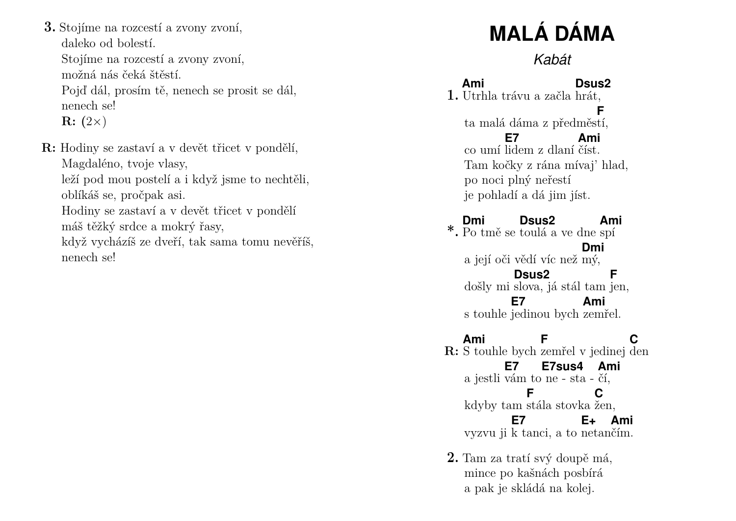- **3.** Stojíme na rozcestí a zvony zvoní, daleko od bolestí. Stojíme na rozcestí a zvony zvoní, možná nás čeká štěstí. Pojď dál, prosím tě, nenech se prosit se dál, nenech se!  $\mathbf{R}: (2\times)$
- **R:** Hodiny se zastaví a v devět třicet v pondělí, Magdaléno, tvoje vlasy, leží pod mou postelí a i když jsme to nechtěli, oblíkáš se, pročpak asi. Hodiny se zastaví a v devět třicet v pondělí máš těžký srdce a mokrý řasy,

když vycházíš ze dveří, tak sama tomu nevěříš, nenech se!

# **MALÁ DÁMA**

*Kabát*

**1.** Utrhla trávu a začla hrát, **Ami Dsus2** ta malá dáma z předměs tí, **F** co umí lidem z dlaní číst. **E7 Ami** Tam kočky z rána mívaj' hlad, po noci plný neřestí je pohladí a dá jim jíst. **\*.** Po tmě se toulá a ve dne spí **Dmi Dsus2 Ami** a její oči vědí víc než mý, **Dmi** došly mi slova, já stál tam jen, **Dsus2 F** s touhle jedinou bych zemřel. **E7 Ami R:** S touhle bych zemřel v jedinej den **Ami F C** a jestli vám to ne - sta - čí, **E7 E7sus4 Ami** kdyby tam stála stovka žen, **F C** vyzvu ji k tanci, a to netan čím. **E7 E+ Ami**

**2.** Tam za tratí svý doupě má, mince po kašnách posbírá a pak je skládá na kolej.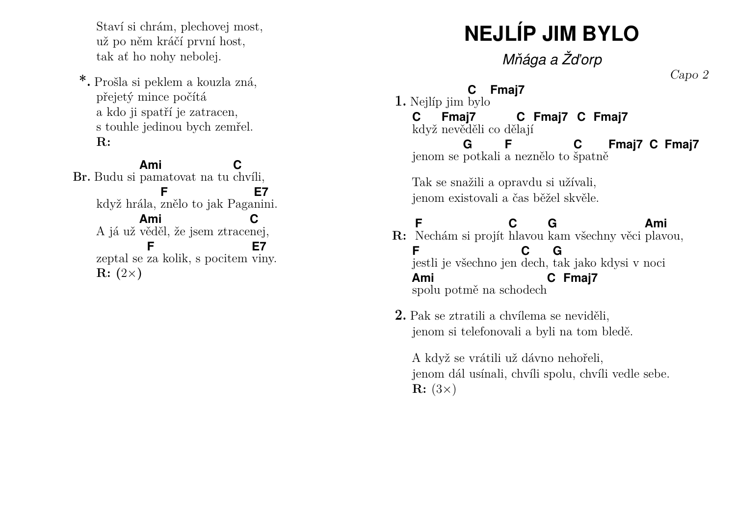Staví si chrám, plechovej most, už po něm kráčí první host, tak ať ho nohy nebolej.

**\*.** Prošla si peklem a kouzla zná, přejetý mince počítá a kdo ji spatří je zatracen, s touhle jedinou bych zemřel. **R:**

**Br.** Budu si pamatovat na tu chvíli, **Ami C** když hrála, znělo to jak Paga nini. **F E7** A já už věděl, že jsem ztrace **Ami C** nej, zeptal se **F** za kolik, s pocitem viny. **E7**  $\mathbf{R}: (2\times)$ 

# **NEJLÍP JIM BYLO**

*Mnága a Žd'orp ˇ*

Capo 2

**1.** Nejlíp jim bylo **C Fmaj7 C** když nevěděli co dě lají **Fmaj7 C Fmaj7 C Fmaj7** jenom se potkali a neznělo to špatně **G F C Fmaj7 C Fmaj7** Tak se snažili a opravdu si užívali, jenom existovali a čas běžel skvěle.

**R:** Nechám si projít hlavou kam všechny věci plavou, **F C G Ami F** jestli je všechno jen dech, tak jako kdysi v noci **C G Ami** spolu potmě na schodech **C Fmaj7**

**2.** Pak se ztratili a chvílema se neviděli, jenom si telefonovali a byli na tom bledě.

A když se vrátili už dávno nehořeli, jenom dál usínali, chvíli spolu, chvíli vedle sebe.  $\mathbf{R}: (3\times)$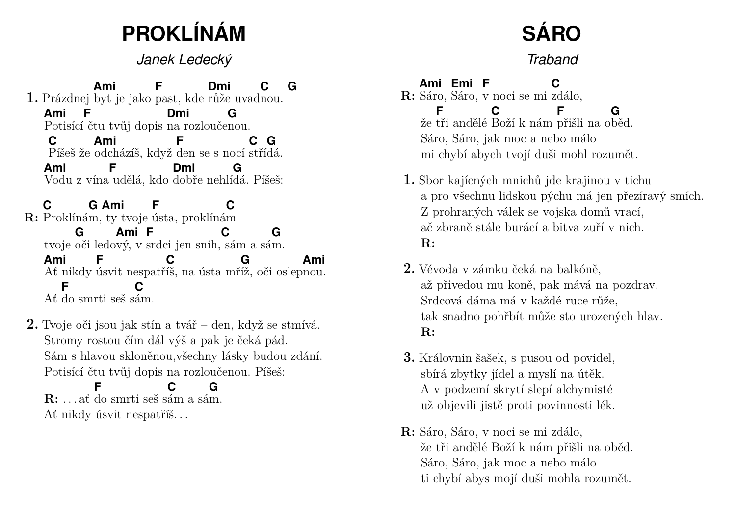# **PROKLÍNÁM**

## *Janek Ledecký*

**1.** Prázdnej byt je jako past, kde růže uvad nou. **Ami F Dmi C G Ami** Potisící čtu tvůj dopis na rozlouče nou. **F Dmi G C** Píšeš že odcházíš, když den se s nocí stří dá. **Ami F C G Ami** Vodu z vína udělá, kdo dobře nehlí dá. Píšeš: **F Dmi G**

**R:** Proklíná m, ty tvoje ústa, proklíná m **C G Ami F C** tvoje oči ledo vý, v srdci jen sníh, **G Ami F C** sám a sá m. **G Ami** Ať nikdy úsvit nespatř íš, na ústa mř íž, oči oslep nou. **F C G Ami** Ať do smrti seš s **F C** ám.

**2.** Tvoje oči jsou jak stín a tvář – den, když se stmívá. Stromy rostou čím dál výš a pak je čeká pád. Sám s hlavou skloněnou,všechny lásky budou zdání. Potisící čtu tvůj dopis na rozloučenou. Píšeš:

**R:** . . . ať do smrti seš s ám a sá m. **F C G** Ať nikdy úsvit nespatříš. . .

# **SÁRO**

*Traband*

**R:** Sáro, Sáro, v noci se mi zdálo, **Ami Emi F C** že tři andělé Boží k nám **F C F** přišli na o běd. **G** Sáro, Sáro, jak moc a nebo málo mi chybí abych tvojí duši mohl rozumět.

- **1.** Sbor kajícných mnichů jde krajinou v tichu a pro všechnu lidskou pýchu má jen přezíravý smích. Z prohraných válek se vojska domů vrací, ač zbraně stále burácí a bitva zuří v nich. **R:**
- **2.** Vévoda v zámku čeká na balkóně, až přivedou mu koně, pak mává na pozdrav. Srdcová dáma má v každé ruce růže, tak snadno pohřbít může sto urozených hlav. **R:**
- **3.** Královnin šašek, s pusou od povidel, sbírá zbytky jídel a myslí na útěk. A v podzemí skrytí slepí alchymisté už objevili jistě proti povinnosti lék.
- **R:** Sáro, Sáro, v noci se mi zdálo, že tři andělé Boží k nám přišli na oběd. Sáro, Sáro, jak moc a nebo málo ti chybí abys mojí duši mohla rozumět.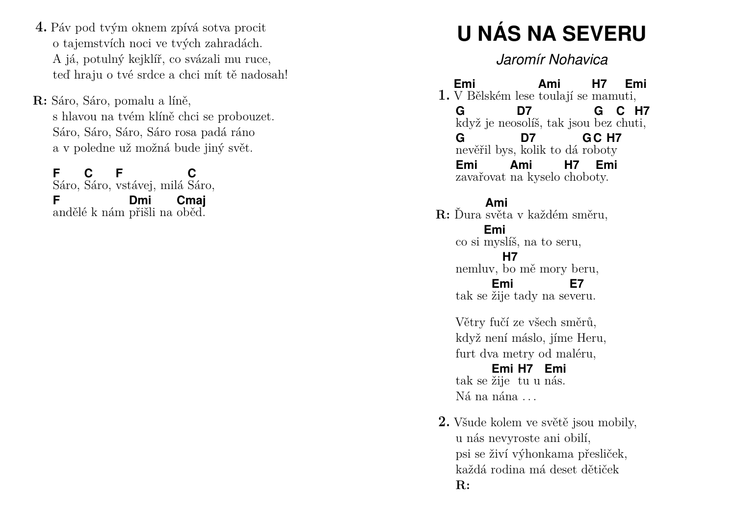- **4.** Páv pod tvým oknem zpívá sotva procit o tajemstvích noci ve tvých zahradách. A já, potulný kejklíř, co svázali mu ruce, teď hraju o tvé srdce a chci mít tě nadosah!
- **R:** Sáro, Sáro, pomalu a líně, s hlavou na tvém klíně chci se probouzet. Sáro, Sáro, Sáro, Sáro rosa padá ráno a v poledne už možná bude jiný svět.

**F** Sáro, Sáro, vstávej, milá Sáro, **C F C F** andělé k nám přišli na oběd. **Dmi Cmaj**

# **U NÁS NA SEVERU**

*Jaromír Nohavica*

1. V Bělském lese toulají se mamuti, **Emi Ami H7 Emi G** když je neo solíš, tak jsou bez chu ti, **D7 G C H7 G** nevěřil bys, kolik to dá ro bo ty **D7 G C H7 Emi** zavařovat na kyselo chobo ty. **Ami H7 Emi**

**R:** Ďura světa v každém směru, **Ami** co si myslíš, na to seru, **Emi** nemluv, bo mě mory beru, **H7** tak se žije tady na se veru. **Emi E7**

Větry fučí ze všech směrů, když není máslo, jíme Heru, furt dva metry od maléru,

tak se žije tu u nás. **Emi H7 Emi** Ná na nána . . .

**2.** Všude kolem ve světě jsou mobily, u nás nevyroste ani obilí, psi se živí výhonkama přesliček, každá rodina má deset dětiček **R:**